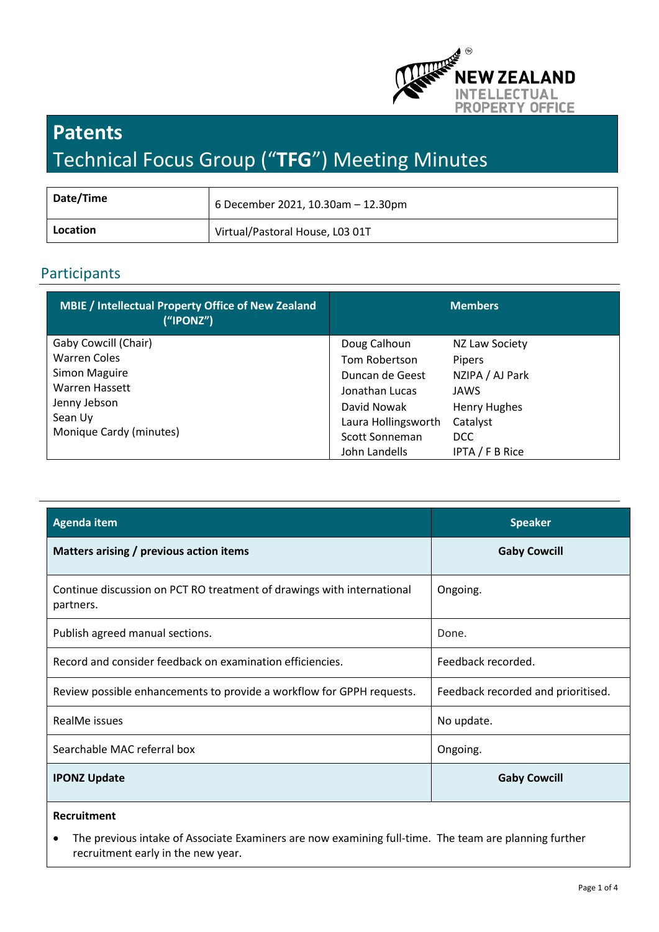

# **Patents** Technical Focus Group ("**TFG**") Meeting Minutes

| Date/Time | 6 December 2021, 10.30am - 12.30pm |
|-----------|------------------------------------|
| Location  | Virtual/Pastoral House, L03 01T    |

# Participants

| <b>MBIE</b> / Intellectual Property Office of New Zealand<br>("IPONZ") |                     | <b>Members</b>      |
|------------------------------------------------------------------------|---------------------|---------------------|
| Gaby Cowcill (Chair)                                                   | Doug Calhoun        | NZ Law Society      |
| <b>Warren Coles</b>                                                    | Tom Robertson       | Pipers              |
| Simon Maguire                                                          | Duncan de Geest     | NZIPA / AJ Park     |
| Warren Hassett                                                         | Jonathan Lucas      | JAWS                |
| Jenny Jebson                                                           | David Nowak         | <b>Henry Hughes</b> |
| Sean Uy                                                                | Laura Hollingsworth | Catalyst            |
| Monique Cardy (minutes)                                                | Scott Sonneman      | <b>DCC</b>          |
|                                                                        | John Landells       | IPTA / F B Rice     |

| <b>Agenda item</b>                                                                  | <b>Speaker</b>                     |
|-------------------------------------------------------------------------------------|------------------------------------|
| Matters arising / previous action items                                             | <b>Gaby Cowcill</b>                |
| Continue discussion on PCT RO treatment of drawings with international<br>partners. | Ongoing.                           |
| Publish agreed manual sections.                                                     | Done.                              |
| Record and consider feedback on examination efficiencies.                           | Feedback recorded.                 |
| Review possible enhancements to provide a workflow for GPPH requests.               | Feedback recorded and prioritised. |
| RealMe issues                                                                       | No update.                         |
| Searchable MAC referral box                                                         | Ongoing.                           |
| <b>IPONZ Update</b>                                                                 | <b>Gaby Cowcill</b>                |
| <b>Recruitment</b>                                                                  |                                    |

- 
- The previous intake of Associate Examiners are now examining full-time. The team are planning further recruitment early in the new year.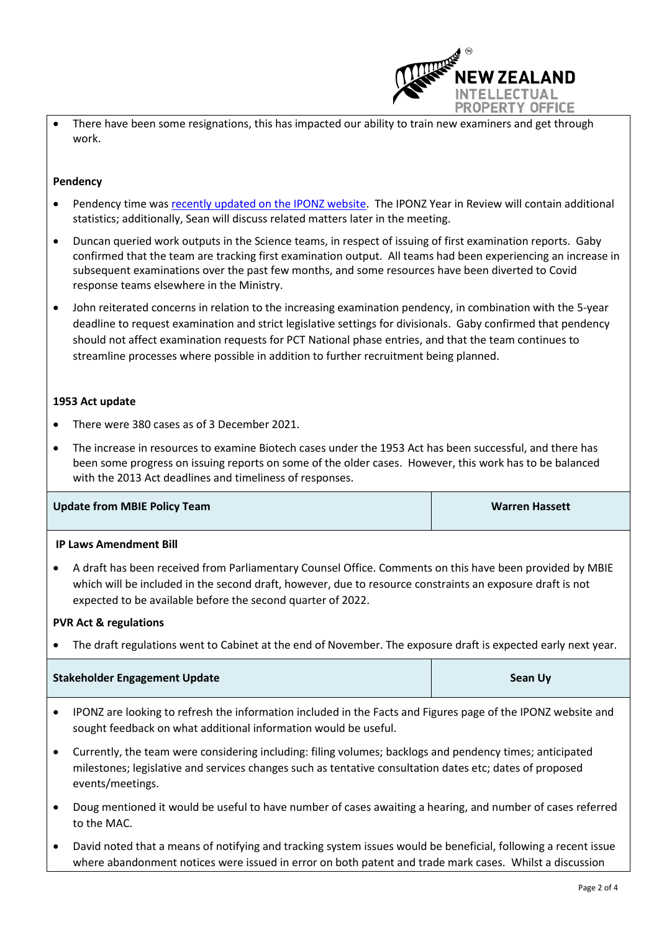

• There have been some resignations, this has impacted our ability to train new examiners and get through work.

# **Pendency**

- Pendency time was [recently updated on the IPONZ website.](https://www.iponz.govt.nz/support/timeframes/) The IPONZ Year in Review will contain additional statistics; additionally, Sean will discuss related matters later in the meeting.
- Duncan queried work outputs in the Science teams, in respect of issuing of first examination reports. Gaby confirmed that the team are tracking first examination output. All teams had been experiencing an increase in subsequent examinations over the past few months, and some resources have been diverted to Covid response teams elsewhere in the Ministry.
- John reiterated concerns in relation to the increasing examination pendency, in combination with the 5-year deadline to request examination and strict legislative settings for divisionals. Gaby confirmed that pendency should not affect examination requests for PCT National phase entries, and that the team continues to streamline processes where possible in addition to further recruitment being planned.

#### **1953 Act update**

- There were 380 cases as of 3 December 2021.
- The increase in resources to examine Biotech cases under the 1953 Act has been successful, and there has been some progress on issuing reports on some of the older cases. However, this work has to be balanced with the 2013 Act deadlines and timeliness of responses.

| Update from MBIE Policy Team<br><b>Warren Hassett</b> |  |
|-------------------------------------------------------|--|
|-------------------------------------------------------|--|

#### **IP Laws Amendment Bill**

• A draft has been received from Parliamentary Counsel Office. Comments on this have been provided by MBIE which will be included in the second draft, however, due to resource constraints an exposure draft is not expected to be available before the second quarter of 2022.

#### **PVR Act & regulations**

• The draft regulations went to Cabinet at the end of November. The exposure draft is expected early next year.

| <b>Stakeholder Engagement Update</b> | Sean Uy |
|--------------------------------------|---------|
|--------------------------------------|---------|

- IPONZ are looking to refresh the information included in the Facts and Figures page of the IPONZ website and sought feedback on what additional information would be useful.
- Currently, the team were considering including: filing volumes; backlogs and pendency times; anticipated milestones; legislative and services changes such as tentative consultation dates etc; dates of proposed events/meetings.
- Doug mentioned it would be useful to have number of cases awaiting a hearing, and number of cases referred to the MAC.
- David noted that a means of notifying and tracking system issues would be beneficial, following a recent issue where abandonment notices were issued in error on both patent and trade mark cases. Whilst a discussion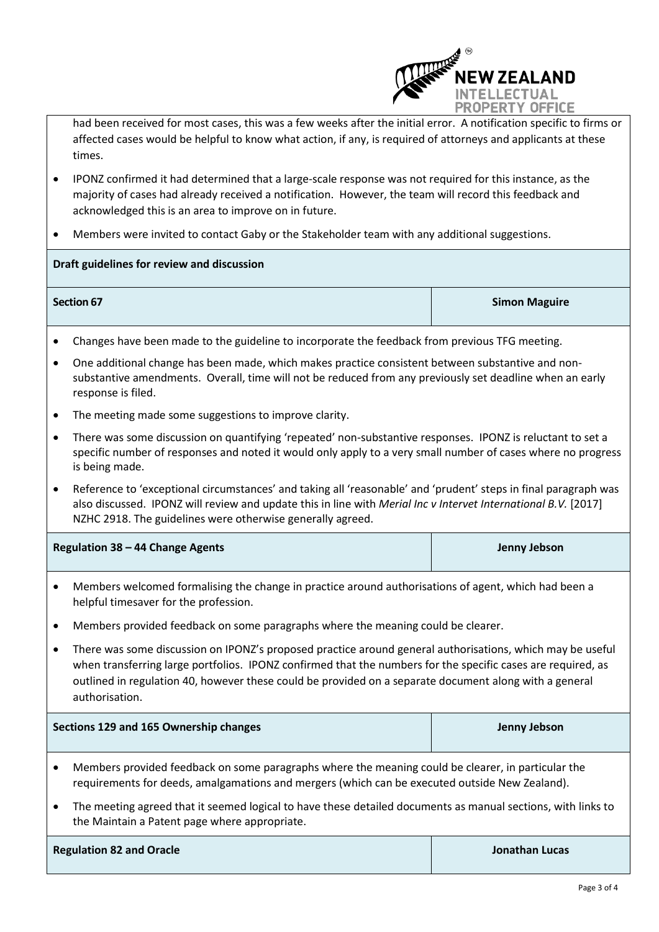

had been received for most cases, this was a few weeks after the initial error. A notification specific to firms or affected cases would be helpful to know what action, if any, is required of attorneys and applicants at these times.

- IPONZ confirmed it had determined that a large-scale response was not required for this instance, as the majority of cases had already received a notification. However, the team will record this feedback and acknowledged this is an area to improve on in future.
- Members were invited to contact Gaby or the Stakeholder team with any additional suggestions.

# **Draft guidelines for review and discussion**

- **Section 67** Section 67 Section 67 Section 67 Section 67 Section 67 Section 67 Section 67 Section 67 Section 67
- Changes have been made to the guideline to incorporate the feedback from previous TFG meeting.
- One additional change has been made, which makes practice consistent between substantive and nonsubstantive amendments. Overall, time will not be reduced from any previously set deadline when an early response is filed.
- The meeting made some suggestions to improve clarity.
- There was some discussion on quantifying 'repeated' non-substantive responses. IPONZ is reluctant to set a specific number of responses and noted it would only apply to a very small number of cases where no progress is being made.
- Reference to 'exceptional circumstances' and taking all 'reasonable' and 'prudent' steps in final paragraph was also discussed. IPONZ will review and update this in line with *Merial Inc v Intervet International B.V.* [2017] NZHC 2918. The guidelines were otherwise generally agreed.

| Regulation 38 - 44 Change Agents | Jenny Jebson |
|----------------------------------|--------------|
|                                  |              |

- Members welcomed formalising the change in practice around authorisations of agent, which had been a helpful timesaver for the profession.
- Members provided feedback on some paragraphs where the meaning could be clearer.
- There was some discussion on IPONZ's proposed practice around general authorisations, which may be useful when transferring large portfolios. IPONZ confirmed that the numbers for the specific cases are required, as outlined in regulation 40, however these could be provided on a separate document along with a general authorisation.

| Sections 129 and 165 Ownership changes                                                             | Jenny Jebson |
|----------------------------------------------------------------------------------------------------|--------------|
| Members provided feedback on some paragraphs where the meaning could be clearer, in particular the |              |

- requirements for deeds, amalgamations and mergers (which can be executed outside New Zealand).
- The meeting agreed that it seemed logical to have these detailed documents as manual sections, with links to the Maintain a Patent page where appropriate.

| <b>Regulation 82 and Oracle</b> |
|---------------------------------|
|---------------------------------|

**Regulation 82 and Oracle Jonathan Lucas**